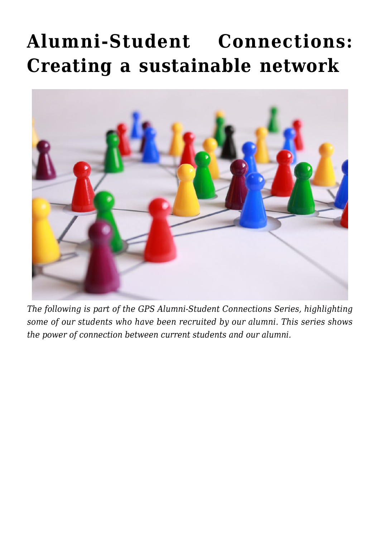## **[Alumni-Student Connections:](https://gpsnews.ucsd.edu/alumni-student-connections-creating-a-sustainable-network/) [Creating a sustainable network](https://gpsnews.ucsd.edu/alumni-student-connections-creating-a-sustainable-network/)**



*The following is part of the GPS Alumni-Student Connections Series, highlighting some of our students who have been recruited by our alumni. This series shows the power of connection between current students and our alumni.*